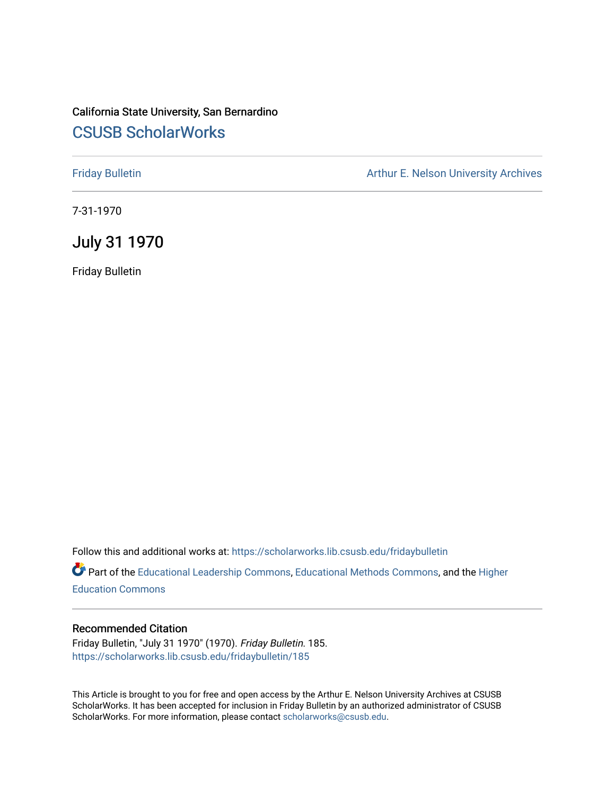#### California State University, San Bernardino [CSUSB ScholarWorks](https://scholarworks.lib.csusb.edu/)

[Friday Bulletin](https://scholarworks.lib.csusb.edu/fridaybulletin) **Arthur E. Nelson University Archives** Arthur E. Nelson University Archives

7-31-1970

July 31 1970

Friday Bulletin

Follow this and additional works at: [https://scholarworks.lib.csusb.edu/fridaybulletin](https://scholarworks.lib.csusb.edu/fridaybulletin?utm_source=scholarworks.lib.csusb.edu%2Ffridaybulletin%2F185&utm_medium=PDF&utm_campaign=PDFCoverPages)

Part of the [Educational Leadership Commons,](http://network.bepress.com/hgg/discipline/1230?utm_source=scholarworks.lib.csusb.edu%2Ffridaybulletin%2F185&utm_medium=PDF&utm_campaign=PDFCoverPages) [Educational Methods Commons,](http://network.bepress.com/hgg/discipline/1227?utm_source=scholarworks.lib.csusb.edu%2Ffridaybulletin%2F185&utm_medium=PDF&utm_campaign=PDFCoverPages) and the [Higher](http://network.bepress.com/hgg/discipline/1245?utm_source=scholarworks.lib.csusb.edu%2Ffridaybulletin%2F185&utm_medium=PDF&utm_campaign=PDFCoverPages) [Education Commons](http://network.bepress.com/hgg/discipline/1245?utm_source=scholarworks.lib.csusb.edu%2Ffridaybulletin%2F185&utm_medium=PDF&utm_campaign=PDFCoverPages) 

#### Recommended Citation

Friday Bulletin, "July 31 1970" (1970). Friday Bulletin. 185. [https://scholarworks.lib.csusb.edu/fridaybulletin/185](https://scholarworks.lib.csusb.edu/fridaybulletin/185?utm_source=scholarworks.lib.csusb.edu%2Ffridaybulletin%2F185&utm_medium=PDF&utm_campaign=PDFCoverPages)

This Article is brought to you for free and open access by the Arthur E. Nelson University Archives at CSUSB ScholarWorks. It has been accepted for inclusion in Friday Bulletin by an authorized administrator of CSUSB ScholarWorks. For more information, please contact [scholarworks@csusb.edu.](mailto:scholarworks@csusb.edu)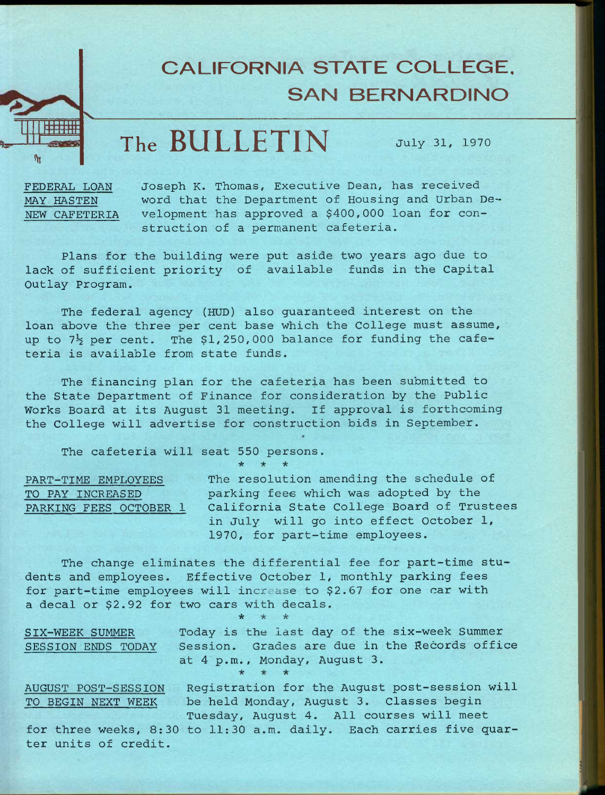## **CALIFORNIA STATE COLLEGE, SAN BERNARDINO**

# **The BULLETIN July 31, 1970**

**FEDERAL LOAN MAY HASTEN NEW CAFETERIA** 

**F+Fffff** 1 I I I Ml

**fH** 

**Joseph K. Thomas, Executive Dean, has received word that the Department of Housing and Urban Development has approved a \$400,000 loan for construction of a permanent cafeteria.** 

**Plans for the building were put aside two years ago due to lack of sufficient priority of available funds in the Capital Outlay Program.** 

**The federal agency (HUD) also guaranteed interest on the loan above the three per cent base which the College must assume,**  up to  $7\frac{1}{2}$  per cent. The \$1,250,000 balance for funding the cafe**teria is available from state funds.** 

**The financing plan for the cafeteria has been submitted to the State Department of Finance for consideration by the Public Works Board at its August 31 meeting. If approval is forthcoming the College will advertise for construction bids in September.** 

**\* \*** 

**The cafeteria will seat 550 persons.** 

**PART-TIME EMPLOYEES TO PAY INCREASED PARKING FEES OCTOBER 1**  **The resolution amending the schedule of parking fees which was adopted by the California State College Board of Trustees in July will go into effect October 1, 1970, for part-time employees.** 

**The change eliminates the differential fee for part-time students and employees. Effective October 1, monthly parking fees for part-time employees will increase to \$2.67 for one car with a decal or \$2.92 for two cars with decals.** 

**\* \* \* SIX-WEEK SUMMER Today is the last day of the six-week Summer SESSION ENDS TODAY Session. Grades are due in the Records office at 4 p.m., Monday, August 3. AUGUST POST-SESSION Registration for the August post-session will TO BEGIN NEXT WEEK** 

**be held Monday, August 3. Classes begin Tuesday, August 4. All courses will meet** 

**for three weeks, 8:30 to 11:30 a.m. daily. Each carries five quarter units of credit.**